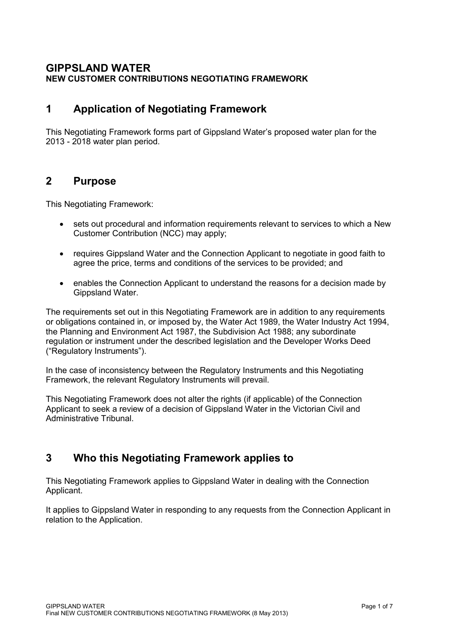#### **GIPPSLAND WATER NEW CUSTOMER CONTRIBUTIONS NEGOTIATING FRAMEWORK**

## **1 Application of Negotiating Framework**

This Negotiating Framework forms part of Gippsland Water's proposed water plan for the 2013 - 2018 water plan period.

### **2 Purpose**

This Negotiating Framework:

- sets out procedural and information requirements relevant to services to which a New Customer Contribution (NCC) may apply;
- requires Gippsland Water and the Connection Applicant to negotiate in good faith to agree the price, terms and conditions of the services to be provided; and
- enables the Connection Applicant to understand the reasons for a decision made by Gippsland Water.

The requirements set out in this Negotiating Framework are in addition to any requirements or obligations contained in, or imposed by, the Water Act 1989, the Water Industry Act 1994, the Planning and Environment Act 1987, the Subdivision Act 1988; any subordinate regulation or instrument under the described legislation and the Developer Works Deed ("Regulatory Instruments").

In the case of inconsistency between the Regulatory Instruments and this Negotiating Framework, the relevant Regulatory Instruments will prevail.

This Negotiating Framework does not alter the rights (if applicable) of the Connection Applicant to seek a review of a decision of Gippsland Water in the Victorian Civil and Administrative Tribunal.

# **3 Who this Negotiating Framework applies to**

This Negotiating Framework applies to Gippsland Water in dealing with the Connection Applicant.

It applies to Gippsland Water in responding to any requests from the Connection Applicant in relation to the Application.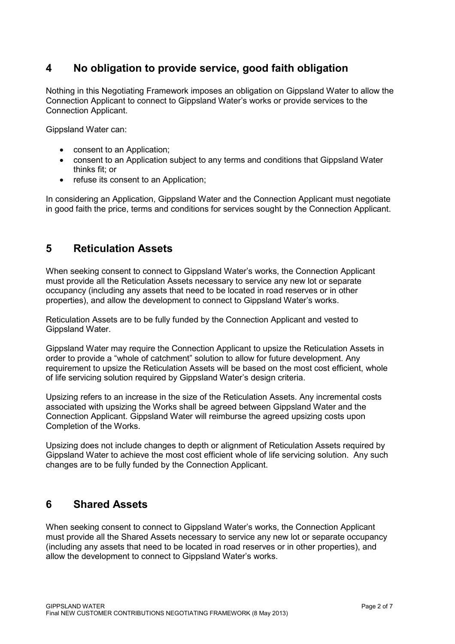# **4 No obligation to provide service, good faith obligation**

Nothing in this Negotiating Framework imposes an obligation on Gippsland Water to allow the Connection Applicant to connect to Gippsland Water's works or provide services to the Connection Applicant.

Gippsland Water can:

- consent to an Application;
- consent to an Application subject to any terms and conditions that Gippsland Water thinks fit; or
- refuse its consent to an Application;

In considering an Application, Gippsland Water and the Connection Applicant must negotiate in good faith the price, terms and conditions for services sought by the Connection Applicant.

# **5 Reticulation Assets**

When seeking consent to connect to Gippsland Water's works, the Connection Applicant must provide all the Reticulation Assets necessary to service any new lot or separate occupancy (including any assets that need to be located in road reserves or in other properties), and allow the development to connect to Gippsland Water's works.

Reticulation Assets are to be fully funded by the Connection Applicant and vested to Gippsland Water.

Gippsland Water may require the Connection Applicant to upsize the Reticulation Assets in order to provide a "whole of catchment" solution to allow for future development. Any requirement to upsize the Reticulation Assets will be based on the most cost efficient, whole of life servicing solution required by Gippsland Water's design criteria.

Upsizing refers to an increase in the size of the Reticulation Assets. Any incremental costs associated with upsizing the Works shall be agreed between Gippsland Water and the Connection Applicant. Gippsland Water will reimburse the agreed upsizing costs upon Completion of the Works.

Upsizing does not include changes to depth or alignment of Reticulation Assets required by Gippsland Water to achieve the most cost efficient whole of life servicing solution. Any such changes are to be fully funded by the Connection Applicant.

# **6 Shared Assets**

When seeking consent to connect to Gippsland Water's works, the Connection Applicant must provide all the Shared Assets necessary to service any new lot or separate occupancy (including any assets that need to be located in road reserves or in other properties), and allow the development to connect to Gippsland Water's works.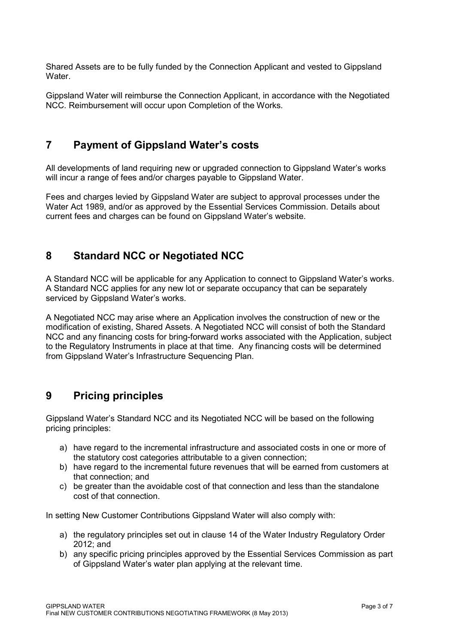Shared Assets are to be fully funded by the Connection Applicant and vested to Gippsland **Water** 

Gippsland Water will reimburse the Connection Applicant, in accordance with the Negotiated NCC. Reimbursement will occur upon Completion of the Works.

#### **7 Payment of Gippsland Water's costs**

All developments of land requiring new or upgraded connection to Gippsland Water's works will incur a range of fees and/or charges payable to Gippsland Water.

Fees and charges levied by Gippsland Water are subject to approval processes under the Water Act 1989, and/or as approved by the Essential Services Commission. Details about current fees and charges can be found on Gippsland Water's website.

#### **8 Standard NCC or Negotiated NCC**

A Standard NCC will be applicable for any Application to connect to Gippsland Water's works. A Standard NCC applies for any new lot or separate occupancy that can be separately serviced by Gippsland Water's works.

A Negotiated NCC may arise where an Application involves the construction of new or the modification of existing, Shared Assets. A Negotiated NCC will consist of both the Standard NCC and any financing costs for bring-forward works associated with the Application, subject to the Regulatory Instruments in place at that time. Any financing costs will be determined from Gippsland Water's Infrastructure Sequencing Plan.

### **9 Pricing principles**

Gippsland Water's Standard NCC and its Negotiated NCC will be based on the following pricing principles:

- a) have regard to the incremental infrastructure and associated costs in one or more of the statutory cost categories attributable to a given connection;
- b) have regard to the incremental future revenues that will be earned from customers at that connection; and
- c) be greater than the avoidable cost of that connection and less than the standalone cost of that connection.

In setting New Customer Contributions Gippsland Water will also comply with:

- a) the regulatory principles set out in clause 14 of the Water Industry Regulatory Order 2012; and
- b) any specific pricing principles approved by the Essential Services Commission as part of Gippsland Water's water plan applying at the relevant time.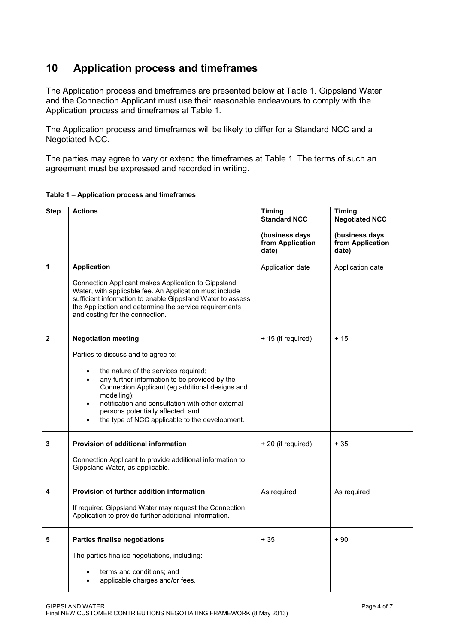# **10 Application process and timeframes**

The Application process and timeframes are presented below at Table 1. Gippsland Water and the Connection Applicant must use their reasonable endeavours to comply with the Application process and timeframes at Table 1.

The Application process and timeframes will be likely to differ for a Standard NCC and a Negotiated NCC.

The parties may agree to vary or extend the timeframes at Table 1. The terms of such an agreement must be expressed and recorded in writing.

| Table 1 - Application process and timeframes |                                                                                                                                                                                                                                                                           |                                             |                                             |  |
|----------------------------------------------|---------------------------------------------------------------------------------------------------------------------------------------------------------------------------------------------------------------------------------------------------------------------------|---------------------------------------------|---------------------------------------------|--|
| <b>Step</b>                                  | <b>Actions</b>                                                                                                                                                                                                                                                            | <b>Timing</b><br><b>Standard NCC</b>        | <b>Timing</b><br><b>Negotiated NCC</b>      |  |
|                                              |                                                                                                                                                                                                                                                                           | (business days<br>from Application<br>date) | (business days<br>from Application<br>date) |  |
| 1                                            | <b>Application</b>                                                                                                                                                                                                                                                        | Application date                            | Application date                            |  |
|                                              | Connection Applicant makes Application to Gippsland<br>Water, with applicable fee. An Application must include<br>sufficient information to enable Gippsland Water to assess<br>the Application and determine the service requirements<br>and costing for the connection. |                                             |                                             |  |
| $\mathbf{2}$                                 | <b>Negotiation meeting</b>                                                                                                                                                                                                                                                | + 15 (if required)                          | $+15$                                       |  |
|                                              | Parties to discuss and to agree to:                                                                                                                                                                                                                                       |                                             |                                             |  |
|                                              | the nature of the services required;<br>$\bullet$<br>any further information to be provided by the<br>$\bullet$<br>Connection Applicant (eg additional designs and<br>modelling);                                                                                         |                                             |                                             |  |
|                                              | notification and consultation with other external<br>$\bullet$<br>persons potentially affected; and<br>the type of NCC applicable to the development.                                                                                                                     |                                             |                                             |  |
| 3                                            | <b>Provision of additional information</b>                                                                                                                                                                                                                                | + 20 (if required)                          | $+35$                                       |  |
|                                              | Connection Applicant to provide additional information to<br>Gippsland Water, as applicable.                                                                                                                                                                              |                                             |                                             |  |
| 4                                            | Provision of further addition information                                                                                                                                                                                                                                 | As required                                 | As required                                 |  |
|                                              | If required Gippsland Water may request the Connection<br>Application to provide further additional information.                                                                                                                                                          |                                             |                                             |  |
| 5                                            | <b>Parties finalise negotiations</b>                                                                                                                                                                                                                                      | $+35$                                       | $+90$                                       |  |
|                                              | The parties finalise negotiations, including:                                                                                                                                                                                                                             |                                             |                                             |  |
|                                              | terms and conditions; and<br>applicable charges and/or fees.                                                                                                                                                                                                              |                                             |                                             |  |

٦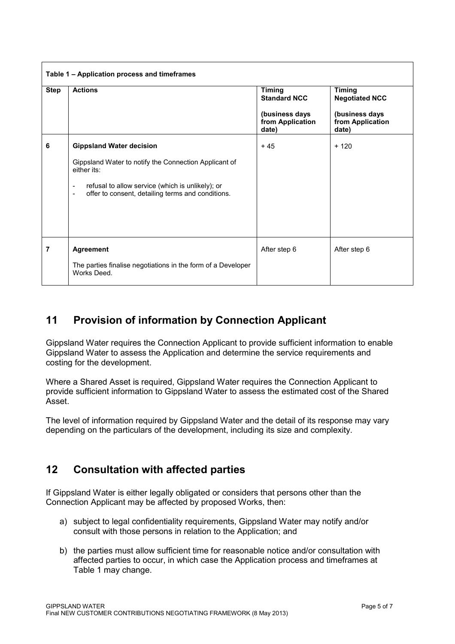| <b>Step</b> | <b>Actions</b>                                                                                                                                                                                                 | <b>Timing</b><br><b>Standard NCC</b><br>(business days<br>from Application<br>date) | <b>Timing</b><br><b>Negotiated NCC</b><br>(business days<br>from Application<br>date) |
|-------------|----------------------------------------------------------------------------------------------------------------------------------------------------------------------------------------------------------------|-------------------------------------------------------------------------------------|---------------------------------------------------------------------------------------|
|             |                                                                                                                                                                                                                |                                                                                     |                                                                                       |
|             | Gippsland Water to notify the Connection Applicant of<br>either its:<br>refusal to allow service (which is unlikely); or<br>۰<br>offer to consent, detailing terms and conditions.<br>$\overline{\phantom{0}}$ |                                                                                     |                                                                                       |
| 7           | <b>Agreement</b><br>The parties finalise negotiations in the form of a Developer<br>Works Deed.                                                                                                                | After step 6                                                                        | After step 6                                                                          |

# **11 Provision of information by Connection Applicant**

Gippsland Water requires the Connection Applicant to provide sufficient information to enable Gippsland Water to assess the Application and determine the service requirements and costing for the development.

Where a Shared Asset is required, Gippsland Water requires the Connection Applicant to provide sufficient information to Gippsland Water to assess the estimated cost of the Shared Asset.

The level of information required by Gippsland Water and the detail of its response may vary depending on the particulars of the development, including its size and complexity.

# **12 Consultation with affected parties**

If Gippsland Water is either legally obligated or considers that persons other than the Connection Applicant may be affected by proposed Works, then:

- a) subject to legal confidentiality requirements, Gippsland Water may notify and/or consult with those persons in relation to the Application; and
- b) the parties must allow sufficient time for reasonable notice and/or consultation with affected parties to occur, in which case the Application process and timeframes at Table 1 may change.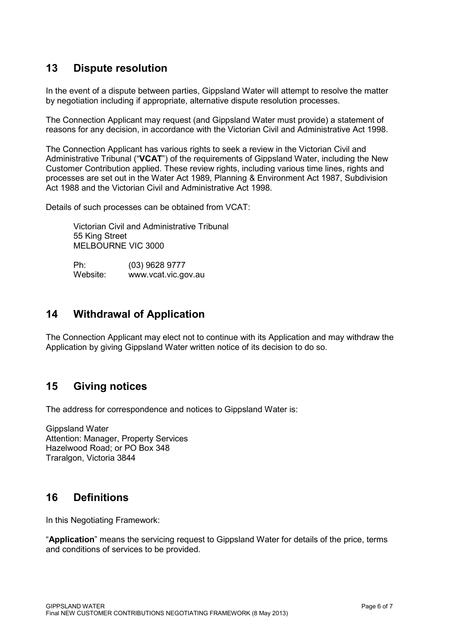# **13 Dispute resolution**

In the event of a dispute between parties, Gippsland Water will attempt to resolve the matter by negotiation including if appropriate, alternative dispute resolution processes.

The Connection Applicant may request (and Gippsland Water must provide) a statement of reasons for any decision, in accordance with the Victorian Civil and Administrative Act 1998.

The Connection Applicant has various rights to seek a review in the Victorian Civil and Administrative Tribunal ("**VCAT**") of the requirements of Gippsland Water, including the New Customer Contribution applied. These review rights, including various time lines, rights and processes are set out in the Water Act 1989, Planning & Environment Act 1987, Subdivision Act 1988 and the Victorian Civil and Administrative Act 1998.

Details of such processes can be obtained from VCAT:

 Victorian Civil and Administrative Tribunal 55 King Street MELBOURNE VIC 3000

Ph: (03) 9628 9777<br>Website: www.ycat.vic.go www.vcat.vic.gov.au

## **14 Withdrawal of Application**

The Connection Applicant may elect not to continue with its Application and may withdraw the Application by giving Gippsland Water written notice of its decision to do so.

# **15 Giving notices**

The address for correspondence and notices to Gippsland Water is:

Gippsland Water Attention: Manager, Property Services Hazelwood Road; or PO Box 348 Traralgon, Victoria 3844

# **16 Definitions**

In this Negotiating Framework:

"**Application**" means the servicing request to Gippsland Water for details of the price, terms and conditions of services to be provided.